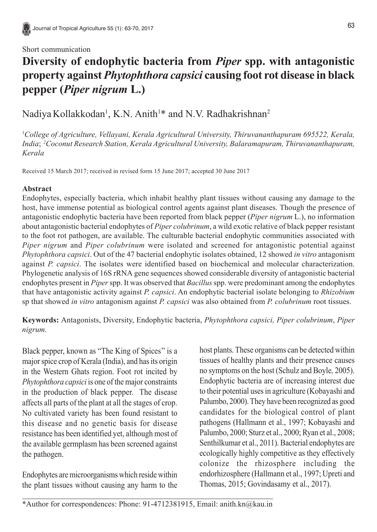## Short communication

# **Diversity of endophytic bacteria from** *Piper* **spp. with antagonistic property against** *Phytophthora capsici* **causing foot rot disease in black pepper (***Piper nigrum* **L.)**

Nadiya Kollakkodan<sup>1</sup>, K.N. Anith<sup>1</sup>\* and N.V. Radhakrishnan<sup>2</sup>

1 *College of Agriculture, Vellayani, Kerala Agricultural University, Thiruvananthapuram 695522, Kerala, India*; *2Coconut Research Station, Kerala Agricultural University, Balaramapuram, Thiruvananthapuram, Kerala*

Received 15 March 2017; received in revised form 15 June 2017; accepted 30 June 2017

## **Abstract**

Endophytes, especially bacteria, which inhabit healthy plant tissues without causing any damage to the host, have immense potential as biological control agents against plant diseases. Though the presence of antagonistic endophytic bacteria have been reported from black pepper (*Piper nigrum* L.), no information about antagonistic bacterial endophytes of *Piper colubrinum*, a wild exotic relative of black pepper resistant to the foot rot pathogen, are available. The culturable bacterial endophytic communities associated with *Piper nigrum* and *Piper colubrinum* were isolated and screened for antagonistic potential against *Phytophthora capsici*. Out of the 47 bacterial endophytic isolates obtained, 12 showed *in vitro* antagonism against *P. capsici*. The isolates were identified based on biochemical and molecular characterization. Phylogenetic analysis of 16S rRNA gene sequences showed considerable diversity of antagonistic bacterial endophytes present in *Piper* spp. It was observed that *Bacillus* spp. were predominant among the endophytes that have antagonistic activity against *P. capsici*. An endophytic bacterial isolate belonging to *Rhizobium* sp that showed *in vitro* antagonism against *P. capsici* was also obtained from *P. colubrinum* root tissues.

**Keywords:** Antagonists, Diversity, Endophytic bacteria, *Phytophthora capsici, Piper colubrinum*, *Piper nigrum.*

Black pepper, known as "The King of Spices'' is a major spice crop of Kerala (India), and has its origin in the Western Ghats region. Foot rot incited by *Phytophthora capsici* is one of the major constraints in the production of black pepper. The disease affects all parts of the plant at all the stages of crop. No cultivated variety has been found resistant to this disease and no genetic basis for disease resistance has been identified yet, although most of the available germplasm has been screened against the pathogen.

Endophytes are microorganisms which reside within the plant tissues without causing any harm to the host plants. These organisms can be detected within tissues of healthy plants and their presence causes no symptoms on the host (Schulz and Boyle*,* 2005). Endophytic bacteria are of increasing interest due to their potential uses in agriculture (Kobayashi and Palumbo, 2000). They have been recognized as good candidates for the biological control of plant pathogens (Hallmann et al., 1997; Kobayashi and Palumbo, 2000; Sturz et al., 2000; Ryan et al., 2008; Senthilkumar et al., 2011). Bacterial endophytes are ecologically highly competitive as they effectively colonize the rhizosphere including the endorhizosphere (Hallmann et al., 1997; Upreti and Thomas, 2015; Govindasamy et al., 2017).

\*Author for correspondences: Phone: 91-4712381915, Email: anith.kn@kau.in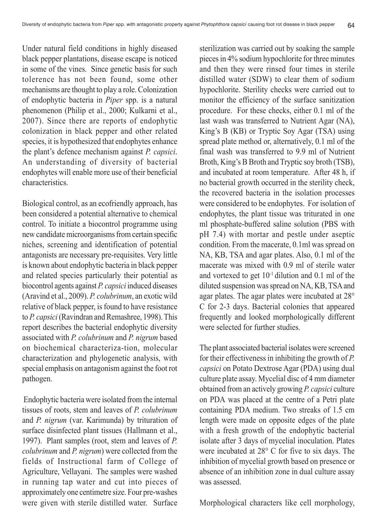Under natural field conditions in highly diseased black pepper plantations, disease escape is noticed in some of the vines. Since genetic basis for such tolerence has not been found, some other mechanisms are thought to play a role. Colonization of endophytic bacteria in *Piper* spp. is a natural phenomenon (Philip et al., 2000; Kulkarni et al., 2007). Since there are reports of endophytic colonization in black pepper and other related species, it is hypothesized that endophytes enhance the plant's defence mechanism against *P. capsici*. An understanding of diversity of bacterial endophytes will enable more use of their beneficial characteristics.

Biological control, as an ecofriendly approach, has been considered a potential alternative to chemical control. To initiate a biocontrol programme using new candidate microorganisms from certain specific niches, screening and identification of potential antagonists are necessary pre-requisites. Very little is known about endophytic bacteria in black pepper and related species particularly their potential as biocontrol agents against *P. capsici* induced diseases (Aravind et al., 2009). *P. colubrinum*, an exotic wild relative of black pepper, is found to have resistance to *P. capsici* (Ravindran and Remashree, 1998). This report describes the bacterial endophytic diversity associated with *P. colubrinum* and *P. nigrum* based on biochemical characteriza-tion, molecular characterization and phylogenetic analysis, with special emphasis on antagonism against the foot rot pathogen.

 Endophytic bacteria were isolated from the internal tissues of roots, stem and leaves of *P. colubrinum* and *P. nigrum* (var. Karimunda) by trituration of surface disinfected plant tissues (Hallmann et al., 1997). Plant samples (root, stem and leaves of *P. colubrinum* and *P. nigrum*) were collected from the fields of Instructional farm of College of Agriculture, Vellayani. The samples were washed in running tap water and cut into pieces of approximately one centimetre size. Four pre-washes were given with sterile distilled water. Surface

sterilization was carried out by soaking the sample pieces in 4% sodium hypochlorite for three minutes and then they were rinsed four times in sterile distilled water (SDW) to clear them of sodium hypochlorite. Sterility checks were carried out to monitor the efficiency of the surface sanitization procedure. For these checks, either 0.1 ml of the last wash was transferred to Nutrient Agar (NA), King's B (KB) or Tryptic Soy Agar (TSA) using spread plate method or, alternatively, 0.1 ml of the final wash was transferred to 9.9 ml of Nutrient Broth, King's B Broth and Tryptic soy broth (TSB), and incubated at room temperature. After 48 h, if no bacterial growth occurred in the sterility check, the recovered bacteria in the isolation processes were considered to be endophytes. For isolation of endophytes, the plant tissue was triturated in one ml phosphate-buffered saline solution (PBS with pH 7.4) with mortar and pestle under aseptic condition. From the macerate, 0.1ml was spread on NA, KB, TSA and agar plates. Also, 0.1 ml of the macerate was mixed with 0.9 ml of sterile water and vortexed to get  $10^{-1}$  dilution and 0.1 ml of the diluted suspension was spread on NA, KB, TSA and agar plates. The agar plates were incubated at 28° C for 2-3 days. Bacterial colonies that appeared frequently and looked morphologically different were selected for further studies.

The plant associated bacterial isolates were screened for their effectiveness in inhibiting the growth of *P. capsici* on Potato Dextrose Agar (PDA) using dual culture plate assay. Mycelial disc of 4 mm diameter obtained from an actively growing *P. capsici* culture on PDA was placed at the centre of a Petri plate containing PDA medium. Two streaks of 1.5 cm length were made on opposite edges of the plate with a fresh growth of the endophytic bacterial isolate after 3 days of mycelial inoculation. Plates were incubated at 28° C for five to six days. The inhibition of mycelial growth based on presence or absence of an inhibition zone in dual culture assay was assessed.

Morphological characters like cell morphology,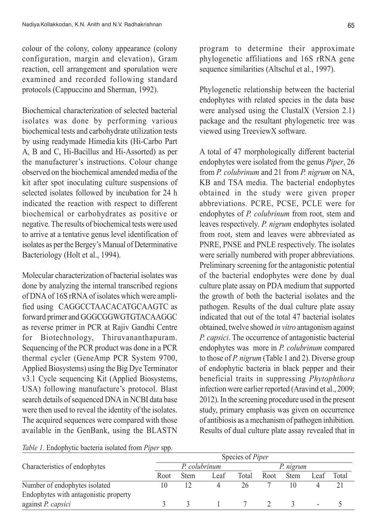colour of the colony, colony appearance (colony configuration, margin and elevation), Gram reaction, cell arrangement and sporulation were examined and recorded following standard protocols (Cappuccino and Sherman, 1992).

Biochemical characterization of selected bacterial isolates was done by performing various biochemical tests and carbohydrate utilization tests by using readymade Himedia kits (Hi-Carbo Part A, B and C, Hi-Bacillus and Hi-Assorted) as per the manufacturer's instructions. Colour change observed on the biochemical amended media of the kit after spot inoculating culture suspensions of selected isolates followed by incubation for 24 h indicated the reaction with respect to different biochemical or carbohydrates as positive or negative. The results of biochemical tests were used to arrive at a tentative genus level identification of isolates as per the Bergey's Manual of Determinative Bacteriology (Holt et al., 1994).

Molecular characterization of bacterial isolates was done by analyzing the internal transcribed regions of DNA of 16S rRNA of isolates which were amplified using CAGGCCTAACACATGCAAGTC as forward primer and GGGCGGWGTGTACAAGGC as reverse primer in PCR at Rajiv Gandhi Centre for Biotechnology, Thiruvananthapuram. Sequencing of the PCR product was done in a PCR thermal cycler (GeneAmp PCR System 9700, Applied Biosystems) using the Big Dye Terminator v3.1 Cycle sequencing Kit (Applied Biosystems, USA) following manufacture's protocol. Blast search details of sequenced DNA in NCBI data base were then used to reveal the identity of the isolates. The acquired sequences were compared with those available in the GenBank, using the BLASTN program to determine their approximate phylogenetic affiliations and 16S rRNA gene sequence similarities (Altschul et al., 1997).

Phylogenetic relationship between the bacterial endophytes with related species in the data base were analysed using the ClustalX (Version 2.1) package and the resultant phylogenetic tree was viewed using TreeviewX software.

A total of 47 morphologically different bacterial endophytes were isolated from the genus *Piper*, 26 from *P. colubrinum* and 21 from *P. nigrum* on NA, KB and TSA media. The bacterial endophytes obtained in the study were given proper abbreviations. PCRE, PCSE, PCLE were for endophytes of *P. colubrinum* from root, stem and leaves respectively. *P. nigrum* endophytes isolated from root, stem and leaves were abbreviated as PNRE, PNSE and PNLE respectively. The isolates were serially numbered with proper abbreviations. Preliminary screening for the antagonistic potential of the bacterial endophytes were done by dual culture plate assay on PDA medium that supported the growth of both the bacterial isolates and the pathogen. Results of the dual culture plate assay indicated that out of the total 47 bacterial isolates obtained, twelve showed *in vitro* antagonism against *P. capsici*. The occurrence of antagonistic bacterial endophytes was more in *P. colubrinum* compared to those of *P. nigrum* (Table 1 and 2). Diverse group of endophytic bacteria in black pepper and their beneficial traits in suppressing *Phytophthora* infection were earlier reported (Aravind et al., 2009; 2012). In the screening procedure used in the present study, primary emphasis was given on occurrence of antibiosis as a mechanism of pathogen inhibition. Results of dual culture plate assay revealed that in

|                                       |      |               |      | Species of Piper |      |             |      |       |
|---------------------------------------|------|---------------|------|------------------|------|-------------|------|-------|
| Characteristics of endophytes         |      | P. colubrinum |      | P. nigrum        |      |             |      |       |
|                                       | Root | <b>Stem</b>   | Leaf | Total            | Root | <b>Stem</b> | Leaf | Total |
| Number of endophytes isolated         | 10   |               |      | 26               |      |             |      |       |
| Endophytes with antagonistic property |      |               |      |                  |      |             |      |       |
| against P. capsici                    |      |               |      |                  |      |             |      |       |

*Table 1*. Endophytic bacteria isolated from *Piper* spp.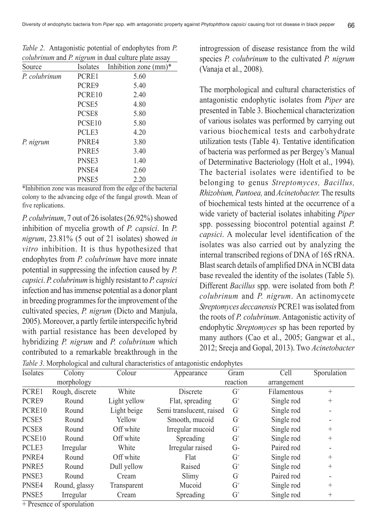| Source        |                    | Isolates Inhibition zone (mm)* |
|---------------|--------------------|--------------------------------|
| P. colubrinum | PCRE1              | 5.60                           |
|               | PCRE9              | 5.40                           |
|               | PCRE10             | 2.40                           |
|               | PCSE <sub>5</sub>  | 4.80                           |
|               | PCSE <sub>8</sub>  | 5.80                           |
|               | PCSE <sub>10</sub> | 5.80                           |
|               | PCLE3              | 4.20                           |
| P. nigrum     | PNR <sub>E4</sub>  | 3.80                           |
|               | PNRE5              | 3.40                           |
|               | PNSE3              | 1.40                           |
|               | PNSE4              | 2.60                           |
|               | PNSE <sub>5</sub>  | 2.20                           |

*Table 2*. Antagonistic potential of endophytes from *P. colubrinum* and *P. nigrum* in dual culture plate assay

\*Inhibition zone was measured from the edge of the bacterial colony to the advancing edge of the fungal growth. Mean of five replications.

*P. colubrinum*, 7 out of 26 isolates (26.92%) showed inhibition of mycelia growth of *P. capsici*. In *P. nigrum*, 23.81% (5 out of 21 isolates) showed *in vitro* inhibition. It is thus hypothesized that endophytes from *P. colubrinum* have more innate potential in suppressing the infection caused by *P. capsici*. *P. colubrinum* is highly resistant to *P. capsici* infection and has immense potential as a donor plant in breeding programmes for the improvement of the cultivated species, *P. nigrum* (Dicto and Manjula, 2005). Moreover, a partly fertile interspecific hybrid with partial resistance has been developed by hybridizing *P. nigrum* and *P. colubrinum* which contributed to a remarkable breakthrough in the

introgression of disease resistance from the wild species *P. colubrinum* to the cultivated *P. nigrum* (Vanaja et al., 2008).

The morphological and cultural characteristics of antagonistic endophytic isolates from *Piper* are presented in Table 3. Biochemical characterization of various isolates was performed by carrying out various biochemical tests and carbohydrate utilization tests (Table 4). Tentative identification of bacteria was performed as per Bergey's Manual of Determinative Bacteriology (Holt et al., 1994). The bacterial isolates were identified to be belonging to genus *Streptomyces, Bacillus, Rhizobium, Pantoea,* and *Acinetobacter.* The results of biochemical tests hinted at the occurrence of a wide variety of bacterial isolates inhabiting *Piper* spp. possessing biocontrol potential against *P. capsici*. A molecular level identification of the isolates was also carried out by analyzing the internal transcribed regions of DNA of 16S rRNA. Blast search details of amplified DNA in NCBI data base revealed the identity of the isolates (Table 5). Different *Bacillus* spp. were isolated from both *P. colubrinum* and *P. nigrum*. An actinomycete *Streptomyces deccanensis* PCRE1 was isolated from the roots of *P. colubrinum*. Antagonistic activity of endophytic *Streptomyces* sp has been reported by many authors (Cao et al., 2005; Gangwar et al., 2012; Sreeja and Gopal, 2013). Two *Acinetobacter*

*Table 3*. Morphological and cultural characteristics of antagonistic endophytes

| Isolates           | Colony          | Colour       | Appearance               | Gram     | Cell        | Sporulation              |
|--------------------|-----------------|--------------|--------------------------|----------|-------------|--------------------------|
|                    | morphology      |              |                          | reaction | arrangement |                          |
| PCRE1              | Rough, discrete | White        | Discrete                 | $G^+$    | Filamentous | $^{+}$                   |
| PCRE9              | Round           | Light yellow | Flat, spreading          | $G^+$    | Single rod  | $^{+}$                   |
| PCRE10             | Round           | Light beige  | Semi translucent, raised | G        | Single rod  | ۰                        |
| PCSE <sub>5</sub>  | Round           | Yellow       | Smooth, mucoid           | G        | Single rod  | $\overline{\phantom{a}}$ |
| PCSE <sub>8</sub>  | Round           | Off white    | Irregular mucoid         | $G^+$    | Single rod  | $^{+}$                   |
| PCSE <sub>10</sub> | Round           | Off white    | Spreading                | $G^+$    | Single rod  | $^{+}$                   |
| PCLE3              | Irregular       | White        | Irregular raised         | G-       | Paired rod  | $\blacksquare$           |
| PNRE4              | Round           | Off white    | Flat                     | $G^+$    | Single rod  | $^{+}$                   |
| PNRE5              | Round           | Dull yellow  | Raised                   | $G^+$    | Single rod  | $^{+}$                   |
| PNSE3              | Round           | Cream        | Slimy                    | G        | Paired rod  | $\overline{\phantom{a}}$ |
| PNSE4              | Round, glassy   | Transparent  | Mucoid                   | $G^+$    | Single rod  | $^{+}$                   |
| PNSE <sub>5</sub>  | Irregular       | Cream        | Spreading                | $G^+$    | Single rod  | $^{+}$                   |

+ Presence of sporulation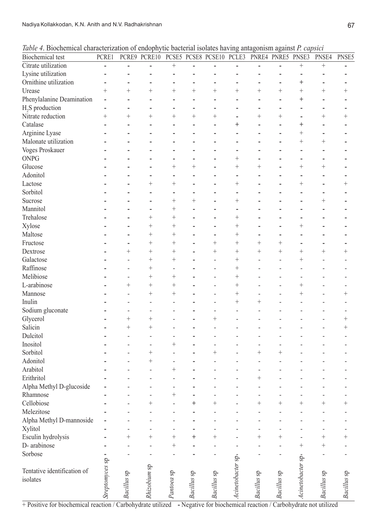| Table 4. Biochemical characterization of endophytic bacterial isolates having antagonism against P. capsici |  |  |  |  |  |  |
|-------------------------------------------------------------------------------------------------------------|--|--|--|--|--|--|
|-------------------------------------------------------------------------------------------------------------|--|--|--|--|--|--|

| Biochemical test            | PCRE1           |             | PCRE9 PCRE10 PCSE5 PCSE8 PCSE10 PCLE3 PNRE4 PNRE5 PNSE3 |                    |             |                |                   |                |             |                   | PNSE4          | PNSE5              |
|-----------------------------|-----------------|-------------|---------------------------------------------------------|--------------------|-------------|----------------|-------------------|----------------|-------------|-------------------|----------------|--------------------|
| Citrate utilization         |                 | L,          | $\overline{a}$                                          | $^{+}$             |             |                | $\overline{a}$    |                |             | $^{+}$            | $^{+}$         |                    |
| Lysine utilization          |                 |             |                                                         |                    |             |                |                   |                |             |                   | $\overline{a}$ |                    |
| Ornithine utilization       |                 |             |                                                         |                    |             | L              |                   |                |             | $\ddag$           |                |                    |
| Urease                      | $^{+}$          | $^{+}$      | $^{+}$                                                  | $^{+}$             | $^{+}$      | $^{+}$         | $^{+}$            | $^{+}$         | $^{+}$      | $^{+}$            | $^{+}$         | $\hspace{0.1mm} +$ |
| Phenylalanine Deamination   |                 |             |                                                         |                    |             |                |                   |                |             | $^{+}$            |                |                    |
| H <sub>2</sub> S production |                 |             |                                                         |                    |             |                |                   |                |             |                   |                |                    |
| Nitrate reduction           | $^{+}$          | $^{+}$      | $\ddot{}$                                               | $^{+}$             | $\ddot{}$   | $^{+}$         | $\overline{a}$    | $^{+}$         | $^{+}$      | $\overline{a}$    | $^{+}$         | $^{+}$             |
| Catalase                    |                 |             | ÷,                                                      |                    |             | L              | $\overline{+}$    | L              |             | $^{+}$            |                |                    |
| Arginine Lyase              |                 |             |                                                         |                    |             | $\overline{a}$ |                   | L              |             | $^{+}$            |                |                    |
| Malonate utilization        |                 |             |                                                         |                    |             |                | L                 |                |             | $^{+}$            | $^{+}$         |                    |
| Voges Proskauer             |                 |             |                                                         |                    |             |                |                   |                |             |                   |                |                    |
| <b>ONPG</b>                 |                 |             |                                                         |                    |             |                | $^{+}$            |                |             | L.                |                |                    |
| Glucose                     |                 |             |                                                         | $\overline{+}$     | $^{+}$      |                | $^{+}$            | $^{+}$         |             | $^{+}$            | $^{+}$         |                    |
| Adonitol                    |                 |             | L,                                                      |                    |             |                | $\overline{a}$    |                |             | $\overline{a}$    |                |                    |
| Lactose                     |                 |             | $^{+}$                                                  | $^{+}$             |             |                | $^{+}$            |                |             | $^{+}$            |                | $^{+}$             |
| Sorbitol                    |                 |             |                                                         |                    |             |                | L                 |                |             |                   |                |                    |
| Sucrose                     |                 |             | ÷,                                                      | $^{+}$             | $\ddot{}$   |                | $^{+}$            |                |             |                   | $^{+}$         |                    |
| Mannitol                    |                 |             | ÷,                                                      | $^{+}$             |             |                | L                 |                |             | $\overline{a}$    |                |                    |
| Trehalose                   |                 |             | $^{+}$                                                  | $\hspace{0.1mm} +$ |             |                | $^{+}$            |                |             | $\overline{a}$    |                |                    |
| Xylose                      |                 |             | $^{+}$                                                  | $^{+}$             |             |                | $^{+}$            |                |             | $^{+}$            |                |                    |
| Maltose                     |                 |             | $^{+}$                                                  | $^{+}$             |             |                | $^{+}$            |                |             |                   |                |                    |
| Fructose                    |                 |             | $^{+}$                                                  | $^{+}$             |             | $^{+}$         | $^{+}$            | $^{+}$         | $^{+}$      | L.                |                |                    |
| Dextrose                    |                 | $^{+}$      | $^{+}$                                                  | $^{+}$             |             | $^{+}$         | $^{+}$            | $^{+}$         | $^{+}$      | $^{+}$            | $^{+}$         | $^{+}$             |
| Galactose                   |                 |             | $^{+}$                                                  | $^{+}$             |             |                | $^{+}$            |                |             | $^{+}$            |                |                    |
| Raffinose                   |                 |             | $^{+}$                                                  |                    |             |                | $^{+}$            |                |             |                   |                |                    |
| Melibiose                   |                 |             | $^{+}$                                                  | $^{+}$             |             |                | $^{+}$            |                |             |                   |                |                    |
| L-arabinose                 |                 | $^{+}$      | $^{+}$                                                  | $^{+}$             |             |                | $^{+}$            |                |             | $^{+}$            |                |                    |
| Mannose                     |                 |             | $^{+}$                                                  | $^{+}$             |             |                | $^{+}$            |                |             | $^{+}$            |                | $^{+}$             |
| Inulin                      |                 |             | ÷,                                                      |                    |             |                | $^{+}$            | $^{+}$         |             |                   |                |                    |
| Sodium gluconate            |                 |             | L,                                                      |                    |             |                |                   |                |             |                   |                |                    |
| Glycerol                    |                 | $^{+}$      | $^{+}$                                                  |                    |             | $^{+}$         |                   |                |             |                   |                | $^{+}$             |
| Salicin                     |                 | $^{+}$      | $^{+}$                                                  |                    |             |                |                   |                |             |                   |                | $^{+}$             |
| Dulcitol                    |                 |             | ÷,                                                      |                    |             |                |                   |                |             |                   |                |                    |
| Inositol                    |                 |             |                                                         | $^+$               |             |                |                   |                |             |                   |                |                    |
| Sorbitol                    |                 |             | $\overline{a}$<br>$^{+}$                                |                    |             | $^{+}$         |                   | ۳<br>$^{+}$    | $^{+}$      |                   |                |                    |
|                             |                 |             |                                                         |                    |             |                |                   |                |             |                   |                |                    |
| Adonitol                    |                 |             | $^{+}$                                                  |                    |             |                |                   |                |             |                   |                |                    |
| Arabitol                    |                 |             | ÷,                                                      | $^{+}$             |             |                |                   | $\overline{a}$ |             |                   |                |                    |
| Erithritol                  |                 |             |                                                         |                    |             |                |                   | $^{+}$         |             |                   |                |                    |
| Alpha Methyl D-glucoside    |                 |             |                                                         |                    |             |                |                   |                |             |                   |                |                    |
| Rhamnose                    |                 |             |                                                         | $^{+}$             |             |                |                   |                |             |                   |                |                    |
| Cellobiose                  |                 |             | $^+$                                                    |                    |             | $^+$           |                   | $^+$           | $^+$        | $^+$              | $^+$           | $^+$               |
| Melezitose                  |                 |             |                                                         |                    |             |                |                   |                |             |                   |                |                    |
| Alpha Methyl D-mannoside    |                 |             |                                                         |                    |             |                |                   |                |             |                   |                |                    |
| Xylitol                     |                 |             |                                                         |                    |             |                |                   |                |             |                   |                |                    |
| Esculin hydrolysis          |                 | $^{+}$      | $^{+}$                                                  | $^{+}$             | $^{+}$      | $^{+}$         |                   | $^{+}$         | $^{+}$      |                   | $^{+}$         | $\hspace{0.1mm} +$ |
| D- arabinose                |                 |             |                                                         |                    |             |                |                   |                |             | $^{+}$            | $^+$           |                    |
| Sorbose                     |                 |             |                                                         |                    |             |                |                   |                |             |                   |                |                    |
|                             |                 |             |                                                         |                    |             |                |                   |                |             |                   |                |                    |
| Tentative identification of | Streptomyces sp |             | Rhizobium sp                                            |                    |             |                | Acinetobacter sp. |                |             | Acinetobacter sp. |                |                    |
| isolates                    |                 | Bacillus sp |                                                         | Pantoea sp         | Bacillus sp | Bacillus sp    |                   | Bacillus sp    | Bacillus sp |                   | Bacillus sp    | Bacillus sp        |
|                             |                 |             |                                                         |                    |             |                |                   |                |             |                   |                |                    |
|                             |                 |             |                                                         |                    |             |                |                   |                |             |                   |                |                    |

+ Positive for biochemical reaction / Carbohydrate utilized - Negative for biochemical reaction / Carbohydrate not utilized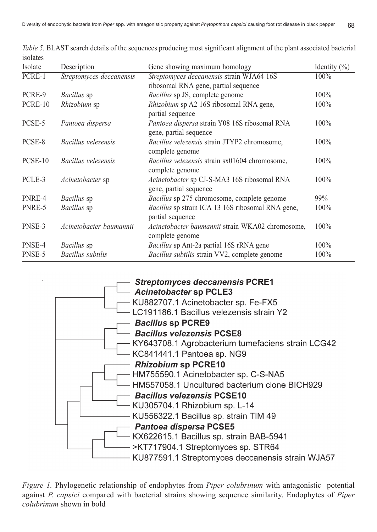| Isolate | Description              | Gene showing maximum homology                                                | Identity $(\% )$ |
|---------|--------------------------|------------------------------------------------------------------------------|------------------|
| PCRE-1  | Streptomyces deccanensis | Streptomyces deccanensis strain WJA64 16S                                    | $100\%$          |
|         |                          | ribosomal RNA gene, partial sequence                                         |                  |
| PCRE-9  | <i>Bacillus</i> sp       | Bacillus sp JS, complete genome                                              | 100%             |
| PCRE-10 | Rhizobium sp             | Rhizobium sp A2 16S ribosomal RNA gene,<br>partial sequence                  | 100%             |
| PCSE-5  | Pantoea dispersa         | Pantoea dispersa strain Y08 16S ribosomal RNA<br>gene, partial sequence      | 100%             |
| PCSE-8  | Bacillus velezensis      | Bacillus velezensis strain JTYP2 chromosome,<br>complete genome              | 100%             |
| PCSE-10 | Bacillus velezensis      | Bacillus velezensis strain sx01604 chromosome,<br>complete genome            | 100%             |
| PCLE-3  | <i>Acinetobacter</i> sp  | <i>Acinetobacter</i> sp CJ-S-MA3 16S ribosomal RNA<br>gene, partial sequence | 100%             |
| PNRE-4  | <i>Bacillus</i> sp       | Bacillus sp 275 chromosome, complete genome                                  | 99%              |
| PNRE-5  | <i>Bacillus</i> sp       | <i>Bacillus</i> sp strain ICA 13 16S ribosomal RNA gene,<br>partial sequence | 100%             |
| PNSE-3  | Acinetobacter baumannii  | Acinetobacter baumannii strain WKA02 chromosome,<br>complete genome          | 100%             |
| PNSE-4  | Bacillus sp              | Bacillus sp Ant-2a partial 16S rRNA gene                                     | 100%             |
| PNSE-5  | <b>Bacillus</b> subtilis | Bacillus subtilis strain VV2, complete genome                                | 100%             |

*Table 5.* BLAST search details of the sequences producing most significant alignment of the plant associated bacterial isolates



*Figure 1.* Phylogenetic relationship of endophytes from *Piper colubrinum* with antagonistic potential against *P. capsici* compared with bacterial strains showing sequence similarity. Endophytes of *Piper colubrinum* shown in bold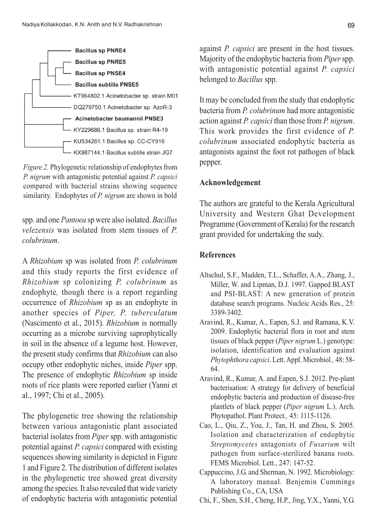

*Figure 2.* Phylogenetic relationship of endophytes from *P. nigrum* with antagonistic potential against *P. capsici* compared with bacterial strains showing sequence similarity. Endophytes of *P. nigrum* are shown in bold

spp. and one *Pantoea* sp were also isolated. *Bacillus velezensis* was isolated from stem tissues of *P. colubrinum*.

A *Rhizobium* sp was isolated from *P. colubrinum* and this study reports the first evidence of *Rhizobium* sp colonizing *P. colubrinum* as endophyte*,* though there is a report regarding occurrence of *Rhizobium* sp as an endophyte in another species of *Piper, P. tuberculatum* (Nascimento et al., 2015). *Rhizobium* is normally occurring as a microbe surviving saprophytically in soil in the absence of a legume host. However, the present study confirms that *Rhizobium* can also occupy other endophytic niches, inside *Piper* spp. The presence of endophytic *Rhizobium* sp inside roots of rice plants were reported earlier (Yanni et al., 1997; Chi et al., 2005).

The phylogenetic tree showing the relationship between various antagonistic plant associated bacterial isolates from *Piper* spp. with antagonistic potential against *P. capsici* compared with existing sequences showing similarity is depicted in Figure 1 and Figure 2. The distribution of different isolates in the phylogenetic tree showed great diversity among the species. It also revealed that wide variety of endophytic bacteria with antagonistic potential against *P. capsici* are present in the host tissues. Majority of the endophytic bacteria from *Piper* spp. with antagonistic potential against *P. capsici* belonged to *Bacillus* spp.

It may be concluded from the study that endophytic bacteria from *P. colubrinum* had more antagonistic action against *P. capsici* than those from *P. nigrum*. This work provides the first evidence of *P. colubrinum* associated endophytic bacteria as antagonists against the foot rot pathogen of black pepper.

### **Acknowledgement**

The authors are grateful to the Kerala Agricultural University and Western Ghat Development Programme (Government of Kerala) for the research grant provided for undertaking the sudy.

### **References**

- Altschul, S.F., Madden, T.L., Schaffer, A.A., Zhang, J., Miller, W. and Lipman, D.J. 1997. Gapped BLAST and PSI-BLAST: A new generation of protein database search programs. Nucleic Acids Res., 25: 3389-3402.
- Aravind, R., Kumar, A., Eapen, S.J. and Ramana, K.V. 2009. Endophytic bacterial flora in root and stem tissues of black pepper (*Piper nigrum* L.) genotype: isolation, identification and evaluation against *Phytophthora capsici*. Lett. Appl. Microbiol*.,* 48: 58- 64.
- Aravind, R., Kumar, A. and Eapen, S.J. 2012. Pre-plant bacterisation: A strategy for delivery of beneficial endophytic bacteria and production of disease-free plantlets of black pepper (*Piper nigrum* L.). Arch. Phytopathol. Plant Protect*.,* 45: 1115-1126.
- Cao, L., Qiu, Z., You, J., Tan, H. and Zhou, S. 2005. Isolation and characterization of endophytic *Streptomycetes* antagonists of *Fusarium* wilt pathogen from surface-sterilized banana roots. FEMS Microbiol. Lett., 247: 147-52.
- Cappuccino, J.G. and Sherman, N. 1992. Microbiology: A laboratory manual. Benjemin Cummings Publishing Co., CA, USA
- Chi, F., Shen, S.H., Cheng, H.P., Jing, Y.X., Yanni, Y.G.